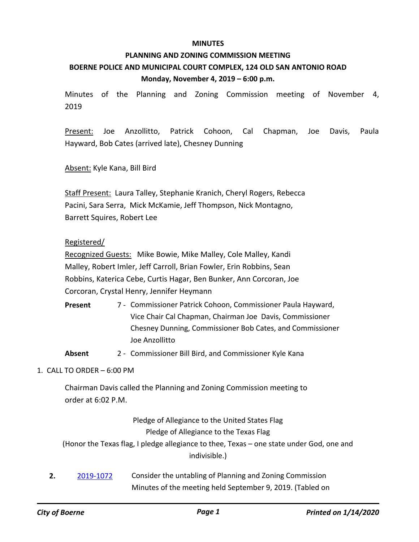#### **MINUTES**

# **PLANNING AND ZONING COMMISSION MEETING BOERNE POLICE AND MUNICIPAL COURT COMPLEX, 124 OLD SAN ANTONIO ROAD Monday, November 4, 2019 – 6:00 p.m.**

Minutes of the Planning and Zoning Commission meeting of November 4, 2019

Present: Joe Anzollitto, Patrick Cohoon, Cal Chapman, Joe Davis, Paula Hayward, Bob Cates (arrived late), Chesney Dunning

Absent: Kyle Kana, Bill Bird

Staff Present: Laura Talley, Stephanie Kranich, Cheryl Rogers, Rebecca Pacini, Sara Serra, Mick McKamie, Jeff Thompson, Nick Montagno, Barrett Squires, Robert Lee

#### Registered/

Recognized Guests: Mike Bowie, Mike Malley, Cole Malley, Kandi Malley, Robert Imler, Jeff Carroll, Brian Fowler, Erin Robbins, Sean Robbins, Katerica Cebe, Curtis Hagar, Ben Bunker, Ann Corcoran, Joe Corcoran, Crystal Henry, Jennifer Heymann

- 7 Commissioner Patrick Cohoon, Commissioner Paula Hayward, Vice Chair Cal Chapman, Chairman Joe Davis, Commissioner Chesney Dunning, Commissioner Bob Cates, and Commissioner Joe Anzollitto **Present**
- **Absent** 2 Commissioner Bill Bird, and Commissioner Kyle Kana

#### 1. CALL TO ORDER – 6:00 PM

Chairman Davis called the Planning and Zoning Commission meeting to order at 6:02 P.M.

> Pledge of Allegiance to the United States Flag Pledge of Allegiance to the Texas Flag

(Honor the Texas flag, I pledge allegiance to thee, Texas – one state under God, one and indivisible.)

**2.** [2019-1072](http://boerne.legistar.com/gateway.aspx?m=l&id=/matter.aspx?key=4898) Consider the untabling of Planning and Zoning Commission Minutes of the meeting held September 9, 2019. (Tabled on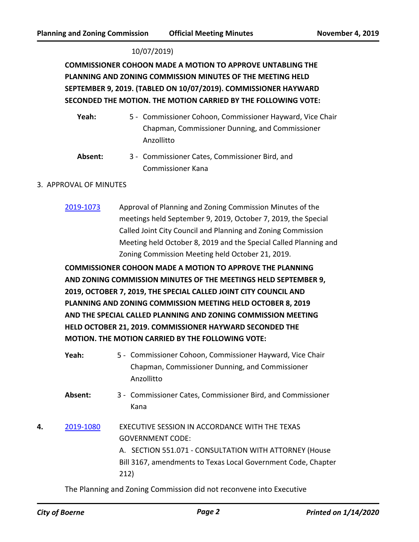#### 10/07/2019)

**COMMISSIONER COHOON MADE A MOTION TO APPROVE UNTABLING THE PLANNING AND ZONING COMMISSION MINUTES OF THE MEETING HELD SEPTEMBER 9, 2019. (TABLED ON 10/07/2019). COMMISSIONER HAYWARD SECONDED THE MOTION. THE MOTION CARRIED BY THE FOLLOWING VOTE:**

Yeah: 5 - Commissioner Cohoon, Commissioner Hayward, Vice Chair Chapman, Commissioner Dunning, and Commissioner Anzollitto

Absent: 3 - Commissioner Cates, Commissioner Bird, and Commissioner Kana

#### 3. APPROVAL OF MINUTES

[2019-1073](http://boerne.legistar.com/gateway.aspx?m=l&id=/matter.aspx?key=4899) Approval of Planning and Zoning Commission Minutes of the meetings held September 9, 2019, October 7, 2019, the Special Called Joint City Council and Planning and Zoning Commission Meeting held October 8, 2019 and the Special Called Planning and Zoning Commission Meeting held October 21, 2019.

**COMMISSIONER COHOON MADE A MOTION TO APPROVE THE PLANNING AND ZONING COMMISSION MINUTES OF THE MEETINGS HELD SEPTEMBER 9, 2019, OCTOBER 7, 2019, THE SPECIAL CALLED JOINT CITY COUNCIL AND PLANNING AND ZONING COMMISSION MEETING HELD OCTOBER 8, 2019 AND THE SPECIAL CALLED PLANNING AND ZONING COMMISSION MEETING HELD OCTOBER 21, 2019. COMMISSIONER HAYWARD SECONDED THE MOTION. THE MOTION CARRIED BY THE FOLLOWING VOTE:**

- Yeah: 5 Commissioner Cohoon, Commissioner Hayward, Vice Chair Chapman, Commissioner Dunning, and Commissioner Anzollitto
- Absent: 3 Commissioner Cates, Commissioner Bird, and Commissioner Kana
- **4.** [2019-1080](http://boerne.legistar.com/gateway.aspx?m=l&id=/matter.aspx?key=4906) EXECUTIVE SESSION IN ACCORDANCE WITH THE TEXAS GOVERNMENT CODE: A. SECTION 551.071 - CONSULTATION WITH ATTORNEY (House Bill 3167, amendments to Texas Local Government Code, Chapter 212)

The Planning and Zoning Commission did not reconvene into Executive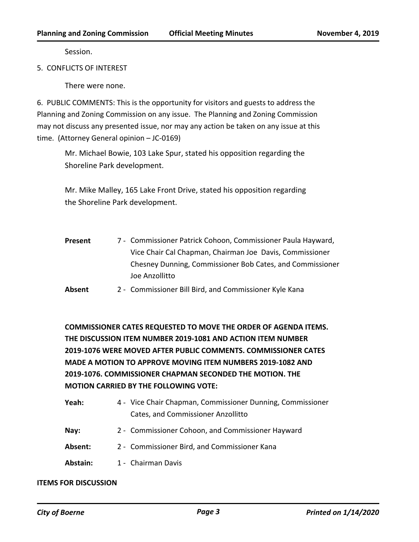Session.

5. CONFLICTS OF INTEREST

There were none.

6. PUBLIC COMMENTS: This is the opportunity for visitors and guests to address the Planning and Zoning Commission on any issue. The Planning and Zoning Commission may not discuss any presented issue, nor may any action be taken on any issue at this time. (Attorney General opinion – JC-0169)

Mr. Michael Bowie, 103 Lake Spur, stated his opposition regarding the Shoreline Park development.

Mr. Mike Malley, 165 Lake Front Drive, stated his opposition regarding the Shoreline Park development.

7 - Commissioner Patrick Cohoon, Commissioner Paula Hayward, Vice Chair Cal Chapman, Chairman Joe Davis, Commissioner Chesney Dunning, Commissioner Bob Cates, and Commissioner Joe Anzollitto **Present** 

**Absent** 2 - Commissioner Bill Bird, and Commissioner Kyle Kana

**COMMISSIONER CATES REQUESTED TO MOVE THE ORDER OF AGENDA ITEMS. THE DISCUSSION ITEM NUMBER 2019-1081 AND ACTION ITEM NUMBER 2019-1076 WERE MOVED AFTER PUBLIC COMMENTS. COMMISSIONER CATES MADE A MOTION TO APPROVE MOVING ITEM NUMBERS 2019-1082 AND 2019-1076. COMMISSIONER CHAPMAN SECONDED THE MOTION. THE MOTION CARRIED BY THE FOLLOWING VOTE:**

| Yeah: | 4 - Vice Chair Chapman, Commissioner Dunning, Commissioner |
|-------|------------------------------------------------------------|
|       | <b>Cates, and Commissioner Anzollitto</b>                  |

- **Nay:** 2 Commissioner Cohoon, and Commissioner Hayward
- **Absent:** 2 Commissioner Bird, and Commissioner Kana
- Abstain: 1 Chairman Davis

#### **ITEMS FOR DISCUSSION**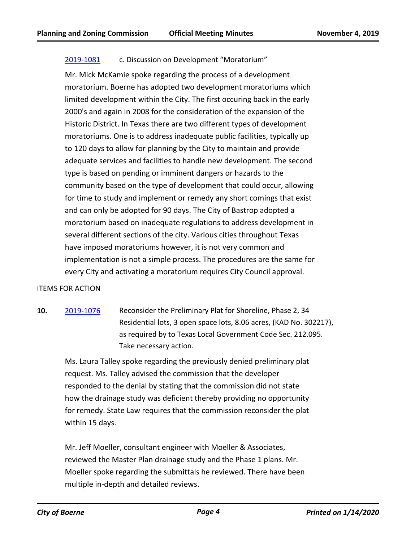### [2019-1081](http://boerne.legistar.com/gateway.aspx?m=l&id=/matter.aspx?key=4907) c. Discussion on Development "Moratorium"

Mr. Mick McKamie spoke regarding the process of a development moratorium. Boerne has adopted two development moratoriums which limited development within the City. The first occuring back in the early 2000's and again in 2008 for the consideration of the expansion of the Historic District. In Texas there are two different types of development moratoriums. One is to address inadequate public facilities, typically up to 120 days to allow for planning by the City to maintain and provide adequate services and facilities to handle new development. The second type is based on pending or imminent dangers or hazards to the community based on the type of development that could occur, allowing for time to study and implement or remedy any short comings that exist and can only be adopted for 90 days. The City of Bastrop adopted a moratorium based on inadequate regulations to address development in several different sections of the city. Various cities throughout Texas have imposed moratoriums however, it is not very common and implementation is not a simple process. The procedures are the same for every City and activating a moratorium requires City Council approval.

#### ITEMS FOR ACTION

**10.** [2019-1076](http://boerne.legistar.com/gateway.aspx?m=l&id=/matter.aspx?key=4902) Reconsider the Preliminary Plat for Shoreline, Phase 2, 34 Residential lots, 3 open space lots, 8.06 acres, (KAD No. 302217), as required by to Texas Local Government Code Sec. 212.095. Take necessary action.

Ms. Laura Talley spoke regarding the previously denied preliminary plat request. Ms. Talley advised the commission that the developer responded to the denial by stating that the commission did not state how the drainage study was deficient thereby providing no opportunity for remedy. State Law requires that the commission reconsider the plat within 15 days.

Mr. Jeff Moeller, consultant engineer with Moeller & Associates, reviewed the Master Plan drainage study and the Phase 1 plans. Mr. Moeller spoke regarding the submittals he reviewed. There have been multiple in-depth and detailed reviews.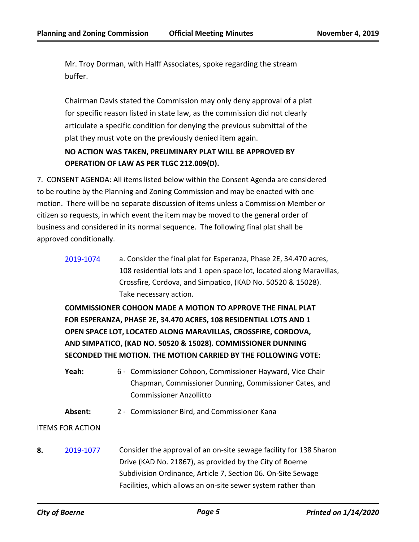Mr. Troy Dorman, with Halff Associates, spoke regarding the stream buffer.

Chairman Davis stated the Commission may only deny approval of a plat for specific reason listed in state law, as the commission did not clearly articulate a specific condition for denying the previous submittal of the plat they must vote on the previously denied item again.

# **NO ACTION WAS TAKEN, PRELIMINARY PLAT WILL BE APPROVED BY OPERATION OF LAW AS PER TLGC 212.009(D).**

7. CONSENT AGENDA: All items listed below within the Consent Agenda are considered to be routine by the Planning and Zoning Commission and may be enacted with one motion. There will be no separate discussion of items unless a Commission Member or citizen so requests, in which event the item may be moved to the general order of business and considered in its normal sequence. The following final plat shall be approved conditionally.

[2019-1074](http://boerne.legistar.com/gateway.aspx?m=l&id=/matter.aspx?key=4900) a. Consider the final plat for Esperanza, Phase 2E, 34.470 acres, 108 residential lots and 1 open space lot, located along Maravillas, Crossfire, Cordova, and Simpatico, (KAD No. 50520 & 15028). Take necessary action.

**COMMISSIONER COHOON MADE A MOTION TO APPROVE THE FINAL PLAT FOR ESPERANZA, PHASE 2E, 34.470 ACRES, 108 RESIDENTIAL LOTS AND 1 OPEN SPACE LOT, LOCATED ALONG MARAVILLAS, CROSSFIRE, CORDOVA, AND SIMPATICO, (KAD NO. 50520 & 15028). COMMISSIONER DUNNING SECONDED THE MOTION. THE MOTION CARRIED BY THE FOLLOWING VOTE:**

- Yeah: 6 Commissioner Cohoon, Commissioner Hayward, Vice Chair Chapman, Commissioner Dunning, Commissioner Cates, and Commissioner Anzollitto
- **Absent:** 2 Commissioner Bird, and Commissioner Kana

#### ITEMS FOR ACTION

**8.** [2019-1077](http://boerne.legistar.com/gateway.aspx?m=l&id=/matter.aspx?key=4903) Consider the approval of an on-site sewage facility for 138 Sharon Drive (KAD No. 21867), as provided by the City of Boerne Subdivision Ordinance, Article 7, Section 06. On-Site Sewage Facilities, which allows an on-site sewer system rather than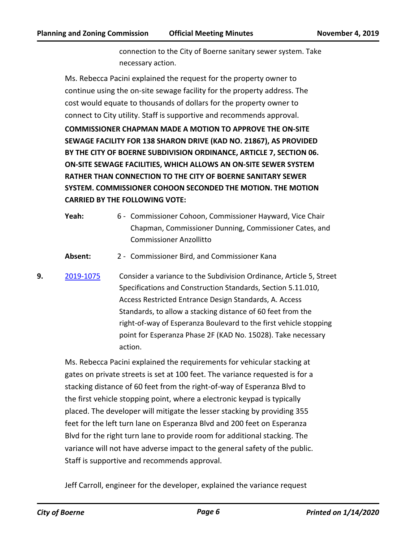connection to the City of Boerne sanitary sewer system. Take necessary action.

Ms. Rebecca Pacini explained the request for the property owner to continue using the on-site sewage facility for the property address. The cost would equate to thousands of dollars for the property owner to connect to City utility. Staff is supportive and recommends approval.

**COMMISSIONER CHAPMAN MADE A MOTION TO APPROVE THE ON-SITE SEWAGE FACILITY FOR 138 SHARON DRIVE (KAD NO. 21867), AS PROVIDED BY THE CITY OF BOERNE SUBDIVISION ORDINANCE, ARTICLE 7, SECTION 06. ON-SITE SEWAGE FACILITIES, WHICH ALLOWS AN ON-SITE SEWER SYSTEM RATHER THAN CONNECTION TO THE CITY OF BOERNE SANITARY SEWER SYSTEM. COMMISSIONER COHOON SECONDED THE MOTION. THE MOTION CARRIED BY THE FOLLOWING VOTE:**

- Yeah: 6 Commissioner Cohoon, Commissioner Hayward, Vice Chair Chapman, Commissioner Dunning, Commissioner Cates, and Commissioner Anzollitto
- **Absent:** 2 Commissioner Bird, and Commissioner Kana
- **9.** [2019-1075](http://boerne.legistar.com/gateway.aspx?m=l&id=/matter.aspx?key=4901) Consider a variance to the Subdivision Ordinance, Article 5, Street Specifications and Construction Standards, Section 5.11.010, Access Restricted Entrance Design Standards, A. Access Standards, to allow a stacking distance of 60 feet from the right-of-way of Esperanza Boulevard to the first vehicle stopping point for Esperanza Phase 2F (KAD No. 15028). Take necessary action.

Ms. Rebecca Pacini explained the requirements for vehicular stacking at gates on private streets is set at 100 feet. The variance requested is for a stacking distance of 60 feet from the right-of-way of Esperanza Blvd to the first vehicle stopping point, where a electronic keypad is typically placed. The developer will mitigate the lesser stacking by providing 355 feet for the left turn lane on Esperanza Blvd and 200 feet on Esperanza Blvd for the right turn lane to provide room for additional stacking. The variance will not have adverse impact to the general safety of the public. Staff is supportive and recommends approval.

Jeff Carroll, engineer for the developer, explained the variance request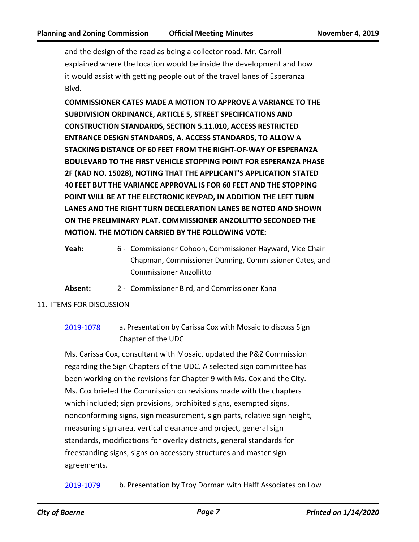and the design of the road as being a collector road. Mr. Carroll explained where the location would be inside the development and how it would assist with getting people out of the travel lanes of Esperanza Blvd.

**COMMISSIONER CATES MADE A MOTION TO APPROVE A VARIANCE TO THE SUBDIVISION ORDINANCE, ARTICLE 5, STREET SPECIFICATIONS AND CONSTRUCTION STANDARDS, SECTION 5.11.010, ACCESS RESTRICTED ENTRANCE DESIGN STANDARDS, A. ACCESS STANDARDS, TO ALLOW A STACKING DISTANCE OF 60 FEET FROM THE RIGHT-OF-WAY OF ESPERANZA BOULEVARD TO THE FIRST VEHICLE STOPPING POINT FOR ESPERANZA PHASE 2F (KAD NO. 15028), NOTING THAT THE APPLICANT'S APPLICATION STATED 40 FEET BUT THE VARIANCE APPROVAL IS FOR 60 FEET AND THE STOPPING POINT WILL BE AT THE ELECTRONIC KEYPAD, IN ADDITION THE LEFT TURN LANES AND THE RIGHT TURN DECELERATION LANES BE NOTED AND SHOWN ON THE PRELIMINARY PLAT. COMMISSIONER ANZOLLITTO SECONDED THE MOTION. THE MOTION CARRIED BY THE FOLLOWING VOTE:**

**Absent:** 2 - Commissioner Bird, and Commissioner Kana

# 11. ITEMS FOR DISCUSSION

[2019-1078](http://boerne.legistar.com/gateway.aspx?m=l&id=/matter.aspx?key=4904) a. Presentation by Carissa Cox with Mosaic to discuss Sign Chapter of the UDC

Ms. Carissa Cox, consultant with Mosaic, updated the P&Z Commission regarding the Sign Chapters of the UDC. A selected sign committee has been working on the revisions for Chapter 9 with Ms. Cox and the City. Ms. Cox briefed the Commission on revisions made with the chapters which included; sign provisions, prohibited signs, exempted signs, nonconforming signs, sign measurement, sign parts, relative sign height, measuring sign area, vertical clearance and project, general sign standards, modifications for overlay districts, general standards for freestanding signs, signs on accessory structures and master sign agreements.

[2019-1079](http://boerne.legistar.com/gateway.aspx?m=l&id=/matter.aspx?key=4905) b. Presentation by Troy Dorman with Halff Associates on Low

Yeah: 6 - Commissioner Cohoon, Commissioner Hayward, Vice Chair Chapman, Commissioner Dunning, Commissioner Cates, and Commissioner Anzollitto